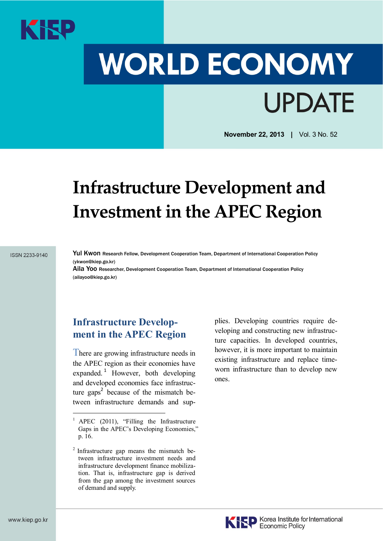

# **WORLD ECONOMY UPDATE**

**November 22, 2013 |** Vol. 3 No. 52

# **Infrastructure Development and Investment in the APEC Region**

#### **ISSN 2233-9140**

Yul Kwon Research Fellow, Development Cooperation Team, Department of International Cooperation Policy (ykwon@kiep.go.kr)

Aila Yoo Researcher, Development Cooperation Team, Department of International Cooperation Policy (ailayoo@kiep.go.kr)

# **Infrastructure Development in the APEC Region**

There are growing infrastructure needs in the APEC region as their economies have expanded.<sup>1</sup> However, both developing and developed economies face infrastructure gaps<sup>2</sup> because of the mismatch between infrastructure demands and supplies. Developing countries require developing and constructing new infrastructure capacities. In developed countries, however, it is more important to maintain existing infrastructure and replace timeworn infrastructure than to develop new ones.



APEC (2011), "Filling the Infrastructure Gaps in the APEC's Developing Economies," p. 16.

<sup>2</sup> Infrastructure gap means the mismatch between infrastructure investment needs and infrastructure development finance mobilization. That is, infrastructure gap is derived from the gap among the investment sources of demand and supply.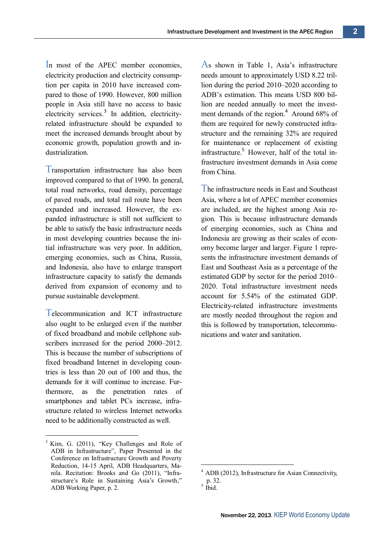In most of the APEC member economies, electricity production and electricity consumption per capita in 2010 have increased compared to those of 1990. However, 800 million people in Asia still have no access to basic electricity services.<sup>3</sup> In addition, electricityrelated infrastructure should be expanded to meet the increased demands brought about by economic growth, population growth and industrialization.

Transportation infrastructure has also been improved compared to that of 1990. In general, total road networks, road density, percentage of paved roads, and total rail route have been expanded and increased. However, the expanded infrastructure is still not sufficient to be able to satisfy the basic infrastructure needs in most developing countries because the initial infrastructure was very poor. In addition, emerging economies, such as China, Russia, and Indonesia, also have to enlarge transport infrastructure capacity to satisfy the demands derived from expansion of economy and to pursue sustainable development.

Telecommunication and ICT infrastructure also ought to be enlarged even if the number of fixed broadband and mobile cellphone subscribers increased for the period 2000–2012. This is because the number of subscriptions of fixed broadband Internet in developing countries is less than 20 out of 100 and thus, the demands for it will continue to increase. Furthermore, as the penetration rates of smartphones and tablet PCs increase, infrastructure related to wireless Internet networks need to be additionally constructed as well.

As shown in Table 1, Asia's infrastructure needs amount to approximately USD 8.22 trillion during the period 2010–2020 according to ADB's estimation. This means USD 800 billion are needed annually to meet the investment demands of the region.<sup>4</sup> Around 68% of them are required for newly constructed infrastructure and the remaining 32% are required for maintenance or replacement of existing infrastructure. <sup>5</sup> However, half of the total infrastructure investment demands in Asia come from China.

The infrastructure needs in East and Southeast Asia, where a lot of APEC member economies are included, are the highest among Asia region. This is because infrastructure demands of emerging economies, such as China and Indonesia are growing as their scales of economy become larger and larger. Figure 1 represents the infrastructure investment demands of East and Southeast Asia as a percentage of the estimated GDP by sector for the period 2010– 2020. Total infrastructure investment needs account for 5.54% of the estimated GDP. Electricity-related infrastructure investments are mostly needed throughout the region and this is followed by transportation, telecommunications and water and sanitation.

<sup>&</sup>lt;sup>3</sup> Kim, G. (2011), "Key Challenges and Role of ADB in Infrastructure", Paper Presented in the Conference on Infrastructure Growth and Poverty Reduction, 14-15 April, ADB Headquarters, Manila. Recitation: Brooks and Go (2011), "Infrastructure's Role in Sustaining Asia's Growth," ADB Working Paper, p. 2.

<sup>4</sup> ADB (2012), Infrastructure for Asian Connectivity, p. 32. 5 Ibid.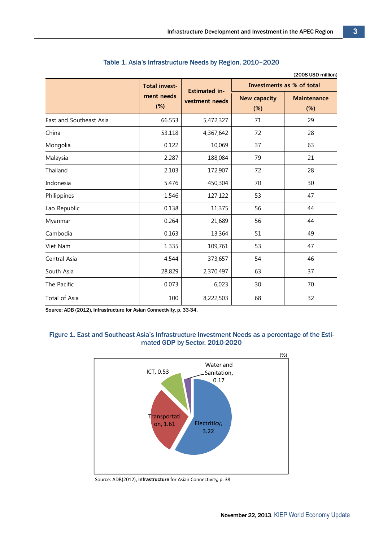|                         |                                              |                                        |                            | (2008 USD million)        |
|-------------------------|----------------------------------------------|----------------------------------------|----------------------------|---------------------------|
|                         | <b>Total invest-</b><br>ment needs<br>$(\%)$ | <b>Estimated in-</b><br>vestment needs | Investments as % of total  |                           |
|                         |                                              |                                        | <b>New capacity</b><br>(%) | <b>Maintenance</b><br>(%) |
| East and Southeast Asia | 66.553                                       | 5,472,327                              | 71                         | 29                        |
| China                   | 53.118                                       | 4,367,642                              | 72                         | 28                        |
| Mongolia                | 0.122                                        | 10,069                                 | 37                         | 63                        |
| Malaysia                | 2.287                                        | 188,084                                | 79                         | 21                        |
| Thailand                | 2.103                                        | 172,907                                | 72                         | 28                        |
| Indonesia               | 5.476                                        | 450,304                                | 70                         | 30                        |
| Philippines             | 1.546                                        | 127,122                                | 53                         | 47                        |
| Lao Republic            | 0.138                                        | 11,375                                 | 56                         | 44                        |
| Myanmar                 | 0.264                                        | 21,689                                 | 56                         | 44                        |
| Cambodia                | 0.163                                        | 13,364                                 | 51                         | 49                        |
| Viet Nam                | 1.335                                        | 109,761                                | 53                         | 47                        |
| Central Asia            | 4.544                                        | 373,657                                | 54                         | 46                        |
| South Asia              | 28.829                                       | 2,370,497                              | 63                         | 37                        |
| The Pacific             | 0.073                                        | 6,023                                  | 30                         | 70                        |
| Total of Asia           | 100                                          | 8,222,503                              | 68                         | 32                        |

#### Table 1. Asia's Infrastructure Needs by Region, 2010–2020

Source: ADB (2012), Infrastructure for Asian Connectivity, p. 33-34.

#### Figure 1. East and Southeast Asia's Infrastructure Investment Needs as a percentage of the Estimated GDP by Sector, 2010-2020



Source: ADB(2012), Infrastructure for Asian Connectivity, p. 38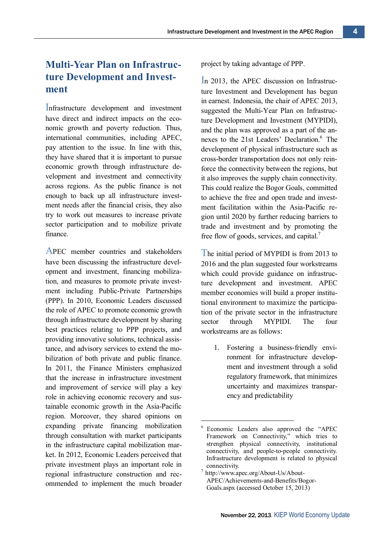# **Multi-Year Plan on Infrastructure Development and Investment**

Infrastructure development and investment have direct and indirect impacts on the economic growth and poverty reduction. Thus, international communities, including APEC, pay attention to the issue. In line with this, they have shared that it is important to pursue economic growth through infrastructure development and investment and connectivity across regions. As the public finance is not enough to back up all infrastructure investment needs after the financial crisis, they also try to work out measures to increase private sector participation and to mobilize private finance.

APEC member countries and stakeholders have been discussing the infrastructure development and investment, financing mobilization, and measures to promote private investment including Public-Private Partnerships (PPP). In 2010, Economic Leaders discussed the role of APEC to promote economic growth through infrastructure development by sharing best practices relating to PPP projects, and providing innovative solutions, technical assistance, and advisory services to extend the mobilization of both private and public finance. In 2011, the Finance Ministers emphasized that the increase in infrastructure investment and improvement of service will play a key role in achieving economic recovery and sustainable economic growth in the Asia-Pacific region. Moreover, they shared opinions on expanding private financing mobilization through consultation with market participants in the infrastructure capital mobilization market. In 2012, Economic Leaders perceived that private investment plays an important role in regional infrastructure construction and recommended to implement the much broader

project by taking advantage of PPP.

In 2013, the APEC discussion on Infrastructure Investment and Development has begun in earnest. Indonesia, the chair of APEC 2013, suggested the Multi-Year Plan on Infrastructure Development and Investment (MYPIDI), and the plan was approved as a part of the annexes to the 21st Leaders' Declaration. <sup>6</sup> The development of physical infrastructure such as cross-border transportation does not only reinforce the connectivity between the regions, but it also improves the supply chain connectivity. This could realize the Bogor Goals, committed to achieve the free and open trade and investment facilitation within the Asia-Pacific region until 2020 by further reducing barriers to trade and investment and by promoting the free flow of goods, services, and capital.<sup>7</sup>

The initial period of MYPIDI is from 2013 to 2016 and the plan suggested four workstreams which could provide guidance on infrastructure development and investment. APEC member economies will build a proper institutional environment to maximize the participation of the private sector in the infrastructure sector through MYPIDI The four workstreams are as follows:

1. Fostering a business-friendly environment for infrastructure development and investment through a solid regulatory framework, that minimizes uncertainty and maximizes transparency and predictability

<sup>6</sup> Economic Leaders also approved the "APEC Framework on Connectivity," which tries to strengthen physical connectivity, institutional connectivity, and people-to-people connectivity. Infrastructure development is related to physical connectivity.

<sup>7</sup> http://www.apec.org/About-Us/About-APEC/Achievements-and-Benefits/Bogor-Goals.aspx (accessed October 15, 2013)